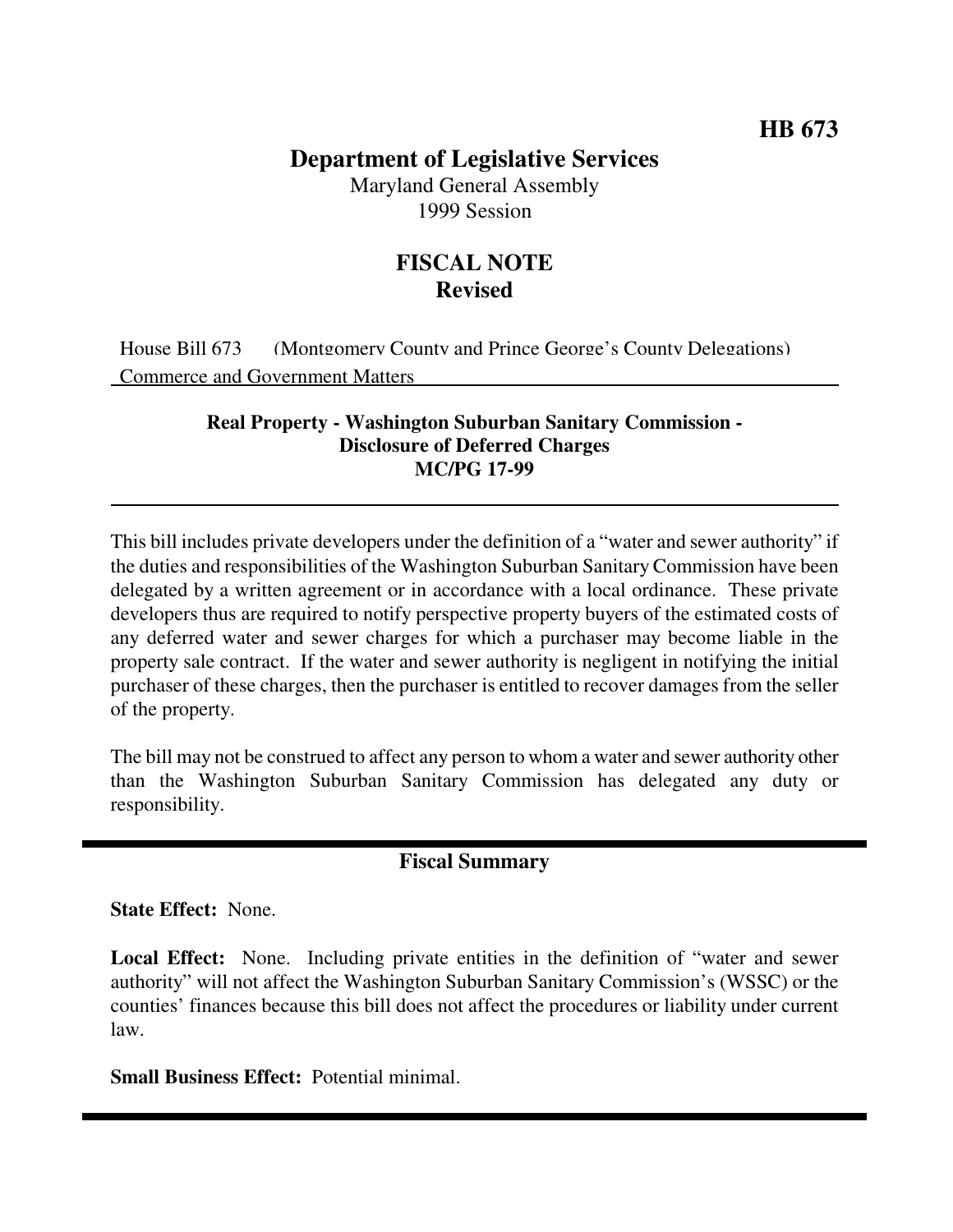# **Department of Legislative Services**

Maryland General Assembly 1999 Session

## **FISCAL NOTE Revised**

House Bill 673 (Montgomery County and Prince George's County Delegations) Commerce and Government Matters

#### **Real Property - Washington Suburban Sanitary Commission - Disclosure of Deferred Charges MC/PG 17-99**

This bill includes private developers under the definition of a "water and sewer authority" if the duties and responsibilities of the Washington Suburban Sanitary Commission have been delegated by a written agreement or in accordance with a local ordinance. These private developers thus are required to notify perspective property buyers of the estimated costs of any deferred water and sewer charges for which a purchaser may become liable in the property sale contract. If the water and sewer authority is negligent in notifying the initial purchaser of these charges, then the purchaser is entitled to recover damages from the seller of the property.

The bill may not be construed to affect any person to whom a water and sewer authority other than the Washington Suburban Sanitary Commission has delegated any duty or responsibility.

### **Fiscal Summary**

**State Effect:** None.

**Local Effect:** None. Including private entities in the definition of "water and sewer authority" will not affect the Washington Suburban Sanitary Commission's (WSSC) or the counties' finances because this bill does not affect the procedures or liability under current law.

**Small Business Effect:** Potential minimal.